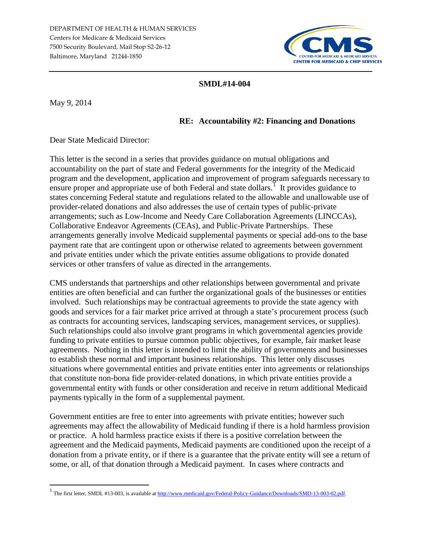

#### **SMDL#14-004**

May 9, 2014

#### **RE: Accountability #2: Financing and Donations**

Dear State Medicaid Director:

This letter is the second in a series that provides guidance on mutual obligations and accountability on the part of state and Federal governments for the integrity of the Medicaid program and the development, application and improvement of program safeguards necessary to ensure proper and appropriate use of both Federal and state dollars.<sup>[1](#page-0-0)</sup> It provides guidance to states concerning Federal statute and regulations related to the allowable and unallowable use of provider-related donations and also addresses the use of certain types of public-private arrangements; such as Low-Income and Needy Care Collaboration Agreements (LINCCAs), Collaborative Endeavor Agreements (CEAs), and Public-Private Partnerships. These arrangements generally involve Medicaid supplemental payments or special add-ons to the base payment rate that are contingent upon or otherwise related to agreements between government and private entities under which the private entities assume obligations to provide donated services or other transfers of value as directed in the arrangements.

CMS understands that partnerships and other relationships between governmental and private entities are often beneficial and can further the organizational goals of the businesses or entities involved. Such relationships may be contractual agreements to provide the state agency with goods and services for a fair market price arrived at through a state's procurement process (such as contracts for accounting services, landscaping services, management services, or supplies). Such relationships could also involve grant programs in which governmental agencies provide funding to private entities to pursue common public objectives, for example, fair market lease agreements. Nothing in this letter is intended to limit the ability of governments and businesses to establish these normal and important business relationships. This letter only discusses situations where governmental entities and private entities enter into agreements or relationships that constitute non-bona fide provider-related donations, in which private entities provide a governmental entity with funds or other consideration and receive in return additional Medicaid payments typically in the form of a supplemental payment.

Government entities are free to enter into agreements with private entities; however such agreements may affect the allowability of Medicaid funding if there is a hold harmless provision or practice. A hold harmless practice exists if there is a positive correlation between the agreement and the Medicaid payments, Medicaid payments are conditioned upon the receipt of a donation from a private entity, or if there is a guarantee that the private entity will see a return of some, or all, of that donation through a Medicaid payment. In cases where contracts and

<span id="page-0-0"></span> <sup>1</sup> The first letter, SMDL #13-003, is available a[t http://www.medicaid.gov/Federal-Policy-Guidance/Downloads/SMD-13-003-02.pdf.](http://www.medicaid.gov/Federal-Policy-Guidance/Downloads/SMD-13-003-02.pdf)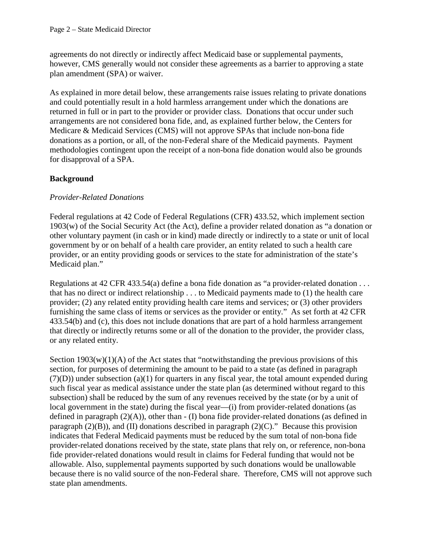agreements do not directly or indirectly affect Medicaid base or supplemental payments, however, CMS generally would not consider these agreements as a barrier to approving a state plan amendment (SPA) or waiver.

As explained in more detail below, these arrangements raise issues relating to private donations and could potentially result in a hold harmless arrangement under which the donations are returned in full or in part to the provider or provider class. Donations that occur under such arrangements are not considered bona fide, and, as explained further below, the Centers for Medicare & Medicaid Services (CMS) will not approve SPAs that include non-bona fide donations as a portion, or all, of the non-Federal share of the Medicaid payments. Payment methodologies contingent upon the receipt of a non-bona fide donation would also be grounds for disapproval of a SPA.

# **Background**

# *Provider-Related Donations*

Federal regulations at 42 Code of Federal Regulations (CFR) 433.52, which implement section 1903(w) of the Social Security Act (the Act), define a provider related donation as "a donation or other voluntary payment (in cash or in kind) made directly or indirectly to a state or unit of local government by or on behalf of a health care provider, an entity related to such a health care provider, or an entity providing goods or services to the state for administration of the state's Medicaid plan."

Regulations at 42 CFR 433.54(a) define a bona fide donation as "a provider-related donation . . . that has no direct or indirect relationship . . . to Medicaid payments made to (1) the health care provider; (2) any related entity providing health care items and services; or (3) other providers furnishing the same class of items or services as the provider or entity." As set forth at 42 CFR 433.54(b) and (c), this does not include donations that are part of a hold harmless arrangement that directly or indirectly returns some or all of the donation to the provider, the provider class, or any related entity.

Section  $1903(w)(1)(A)$  of the Act states that "notwithstanding the previous provisions of this section, for purposes of determining the amount to be paid to a state (as defined in paragraph  $(7)(D)$ ) under subsection (a)(1) for quarters in any fiscal year, the total amount expended during such fiscal year as medical assistance under the state plan (as determined without regard to this subsection) shall be reduced by the sum of any revenues received by the state (or by a unit of local government in the state) during the fiscal year—(i) from provider-related donations (as defined in paragraph (2)(A)), other than - (I) bona fide provider-related donations (as defined in paragraph  $(2)(B)$ ), and (II) donations described in paragraph  $(2)(C)$ ." Because this provision indicates that Federal Medicaid payments must be reduced by the sum total of non-bona fide provider-related donations received by the state, state plans that rely on, or reference, non-bona fide provider-related donations would result in claims for Federal funding that would not be allowable. Also, supplemental payments supported by such donations would be unallowable because there is no valid source of the non-Federal share. Therefore, CMS will not approve such state plan amendments.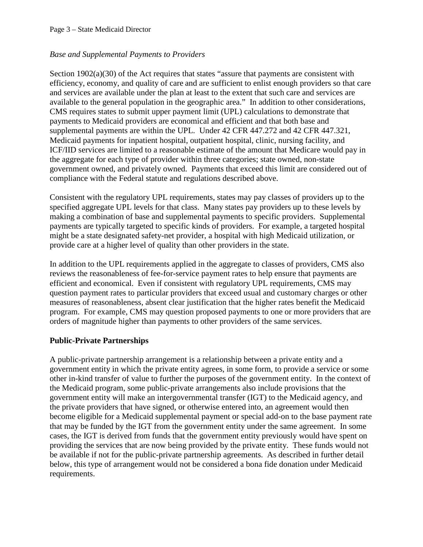### *Base and Supplemental Payments to Providers*

Section 1902(a)(30) of the Act requires that states "assure that payments are consistent with efficiency, economy, and quality of care and are sufficient to enlist enough providers so that care and services are available under the plan at least to the extent that such care and services are available to the general population in the geographic area." In addition to other considerations, CMS requires states to submit upper payment limit (UPL) calculations to demonstrate that payments to Medicaid providers are economical and efficient and that both base and supplemental payments are within the UPL. Under 42 CFR 447.272 and 42 CFR 447.321, Medicaid payments for inpatient hospital, outpatient hospital, clinic, nursing facility, and ICF/IID services are limited to a reasonable estimate of the amount that Medicare would pay in the aggregate for each type of provider within three categories; state owned, non-state government owned, and privately owned. Payments that exceed this limit are considered out of compliance with the Federal statute and regulations described above.

Consistent with the regulatory UPL requirements, states may pay classes of providers up to the specified aggregate UPL levels for that class. Many states pay providers up to these levels by making a combination of base and supplemental payments to specific providers. Supplemental payments are typically targeted to specific kinds of providers. For example, a targeted hospital might be a state designated safety-net provider, a hospital with high Medicaid utilization, or provide care at a higher level of quality than other providers in the state.

In addition to the UPL requirements applied in the aggregate to classes of providers, CMS also reviews the reasonableness of fee-for-service payment rates to help ensure that payments are efficient and economical. Even if consistent with regulatory UPL requirements, CMS may question payment rates to particular providers that exceed usual and customary charges or other measures of reasonableness, absent clear justification that the higher rates benefit the Medicaid program. For example, CMS may question proposed payments to one or more providers that are orders of magnitude higher than payments to other providers of the same services.

### **Public-Private Partnerships**

A public-private partnership arrangement is a relationship between a private entity and a government entity in which the private entity agrees, in some form, to provide a service or some other in-kind transfer of value to further the purposes of the government entity. In the context of the Medicaid program, some public-private arrangements also include provisions that the government entity will make an intergovernmental transfer (IGT) to the Medicaid agency, and the private providers that have signed, or otherwise entered into, an agreement would then become eligible for a Medicaid supplemental payment or special add-on to the base payment rate that may be funded by the IGT from the government entity under the same agreement. In some cases, the IGT is derived from funds that the government entity previously would have spent on providing the services that are now being provided by the private entity. These funds would not be available if not for the public-private partnership agreements. As described in further detail below, this type of arrangement would not be considered a bona fide donation under Medicaid requirements.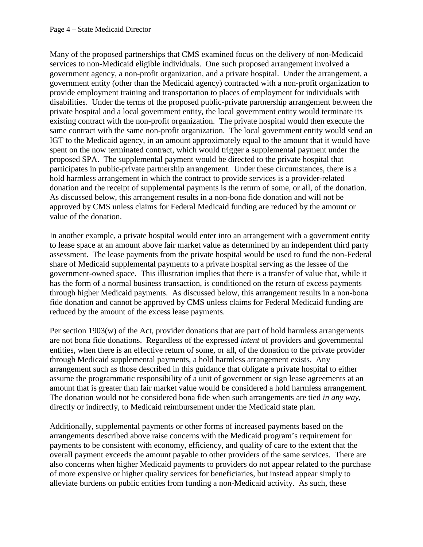Many of the proposed partnerships that CMS examined focus on the delivery of non-Medicaid services to non-Medicaid eligible individuals. One such proposed arrangement involved a government agency, a non-profit organization, and a private hospital. Under the arrangement, a government entity (other than the Medicaid agency) contracted with a non-profit organization to provide employment training and transportation to places of employment for individuals with disabilities. Under the terms of the proposed public-private partnership arrangement between the private hospital and a local government entity, the local government entity would terminate its existing contract with the non-profit organization. The private hospital would then execute the same contract with the same non-profit organization. The local government entity would send an IGT to the Medicaid agency, in an amount approximately equal to the amount that it would have spent on the now terminated contract, which would trigger a supplemental payment under the proposed SPA. The supplemental payment would be directed to the private hospital that participates in public-private partnership arrangement. Under these circumstances, there is a hold harmless arrangement in which the contract to provide services is a provider-related donation and the receipt of supplemental payments is the return of some, or all, of the donation. As discussed below, this arrangement results in a non-bona fide donation and will not be approved by CMS unless claims for Federal Medicaid funding are reduced by the amount or value of the donation.

In another example, a private hospital would enter into an arrangement with a government entity to lease space at an amount above fair market value as determined by an independent third party assessment. The lease payments from the private hospital would be used to fund the non-Federal share of Medicaid supplemental payments to a private hospital serving as the lessee of the government-owned space. This illustration implies that there is a transfer of value that, while it has the form of a normal business transaction, is conditioned on the return of excess payments through higher Medicaid payments. As discussed below, this arrangement results in a non-bona fide donation and cannot be approved by CMS unless claims for Federal Medicaid funding are reduced by the amount of the excess lease payments.

Per section 1903(w) of the Act, provider donations that are part of hold harmless arrangements are not bona fide donations. Regardless of the expressed *intent* of providers and governmental entities, when there is an effective return of some, or all, of the donation to the private provider through Medicaid supplemental payments, a hold harmless arrangement exists. Any arrangement such as those described in this guidance that obligate a private hospital to either assume the programmatic responsibility of a unit of government or sign lease agreements at an amount that is greater than fair market value would be considered a hold harmless arrangement. The donation would not be considered bona fide when such arrangements are tied *in any way*, directly or indirectly, to Medicaid reimbursement under the Medicaid state plan.

Additionally, supplemental payments or other forms of increased payments based on the arrangements described above raise concerns with the Medicaid program's requirement for payments to be consistent with economy, efficiency, and quality of care to the extent that the overall payment exceeds the amount payable to other providers of the same services. There are also concerns when higher Medicaid payments to providers do not appear related to the purchase of more expensive or higher quality services for beneficiaries, but instead appear simply to alleviate burdens on public entities from funding a non-Medicaid activity. As such, these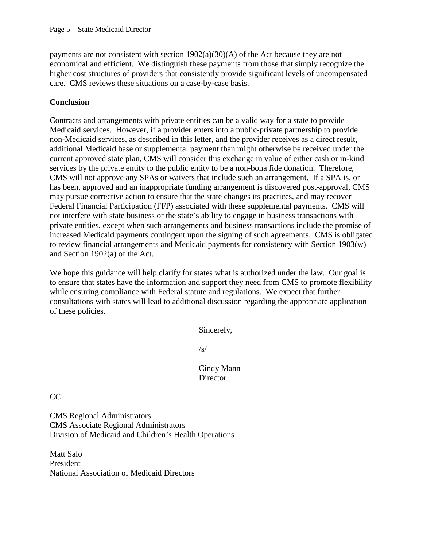payments are not consistent with section 1902(a)(30)(A) of the Act because they are not economical and efficient. We distinguish these payments from those that simply recognize the higher cost structures of providers that consistently provide significant levels of uncompensated care. CMS reviews these situations on a case-by-case basis.

## **Conclusion**

Contracts and arrangements with private entities can be a valid way for a state to provide Medicaid services. However, if a provider enters into a public-private partnership to provide non-Medicaid services, as described in this letter, and the provider receives as a direct result, additional Medicaid base or supplemental payment than might otherwise be received under the current approved state plan, CMS will consider this exchange in value of either cash or in-kind services by the private entity to the public entity to be a non-bona fide donation. Therefore, CMS will not approve any SPAs or waivers that include such an arrangement. If a SPA is, or has been, approved and an inappropriate funding arrangement is discovered post-approval, CMS may pursue corrective action to ensure that the state changes its practices, and may recover Federal Financial Participation (FFP) associated with these supplemental payments. CMS will not interfere with state business or the state's ability to engage in business transactions with private entities, except when such arrangements and business transactions include the promise of increased Medicaid payments contingent upon the signing of such agreements. CMS is obligated to review financial arrangements and Medicaid payments for consistency with Section 1903(w) and Section 1902(a) of the Act.

We hope this guidance will help clarify for states what is authorized under the law. Our goal is to ensure that states have the information and support they need from CMS to promote flexibility while ensuring compliance with Federal statute and regulations. We expect that further consultations with states will lead to additional discussion regarding the appropriate application of these policies.

Sincerely,

/s/

Cindy Mann **Director** 

CC:

CMS Regional Administrators CMS Associate Regional Administrators Division of Medicaid and Children's Health Operations

Matt Salo President National Association of Medicaid Directors